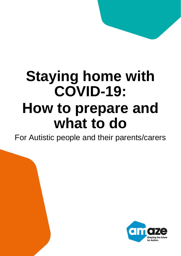# **Staying home with COVID-19: How to prepare and what to do**

For Autistic people and their parents/carers

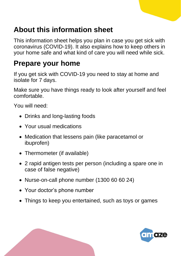## **About this information sheet**

This information sheet helps you plan in case you get sick with coronavirus (COVID-19). It also explains how to keep others in your home safe and what kind of care you will need while sick.

## **Prepare your home**

If you get sick with COVID-19 you need to stay at home and isolate for 7 days.

Make sure you have things ready to look after yourself and feel comfortable.

You will need:

- Drinks and long-lasting foods
- Your usual medications
- Medication that lessens pain (like paracetamol or ibuprofen)
- Thermometer (if available)
- 2 rapid antigen tests per person (including a spare one in case of false negative)
- Nurse-on-call phone number (1300 60 60 24)
- Your doctor's phone number
- Things to keep you entertained, such as toys or games

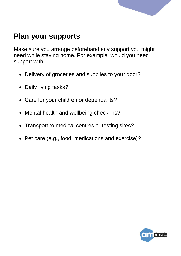

## **Plan your supports**

Make sure you arrange beforehand any support you might need while staying home. For example, would you need support with:

- Delivery of groceries and supplies to your door?
- Daily living tasks?
- Care for your children or dependants?
- Mental health and wellbeing check-ins?
- Transport to medical centres or testing sites?
- Pet care (e.g., food, medications and exercise)?

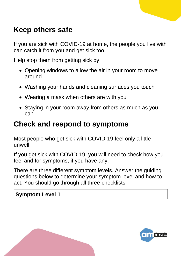## **Keep others safe**

If you are sick with COVID-19 at home, the people you live with can catch it from you and get sick too.

Help stop them from getting sick by:

- Opening windows to allow the air in your room to move around
- Washing your hands and cleaning surfaces you touch
- Wearing a mask when others are with you
- Staying in your room away from others as much as you can

#### **Check and respond to symptoms**

Most people who get sick with COVID-19 feel only a little unwell.

If you get sick with COVID-19, you will need to check how you feel and for symptoms, if you have any.

There are three different symptom levels. Answer the guiding questions below to determine your symptom level and how to act. You should go through all three checklists.

#### **Symptom Level 1**

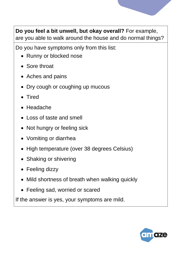

**Do you feel a bit unwell, but okay overall?** For example, are you able to walk around the house and do normal things?

Do you have symptoms only from this list:

- Runny or blocked nose
- Sore throat
- Aches and pains
- Dry cough or coughing up mucous
- Tired
- Headache
- Loss of taste and smell
- Not hungry or feeling sick
- Vomiting or diarrhea
- High temperature (over 38 degrees Celsius)
- Shaking or shivering
- Feeling dizzy
- Mild shortness of breath when walking quickly
- Feeling sad, worried or scared

If the answer is yes, your symptoms are mild.

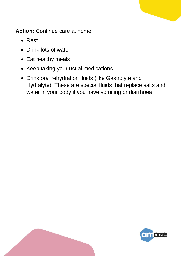**Action:** Continue care at home.

- Rest
- Drink lots of water
- Eat healthy meals
- Keep taking your usual medications
- Drink oral rehydration fluids (like Gastrolyte and Hydralyte). These are special fluids that replace salts and water in your body if you have vomiting or diarrhoea

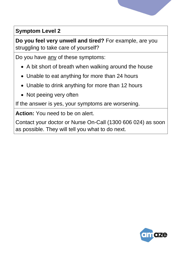

#### **Symptom Level 2**

**Do you feel very unwell and tired?** For example, are you struggling to take care of yourself?

Do you have any of these symptoms:

- A bit short of breath when walking around the house
- Unable to eat anything for more than 24 hours
- Unable to drink anything for more than 12 hours
- Not peeing very often

If the answer is yes, your symptoms are worsening.

**Action:** You need to be on alert.

Contact your doctor or Nurse On-Call (1300 606 024) as soon as possible. They will tell you what to do next.